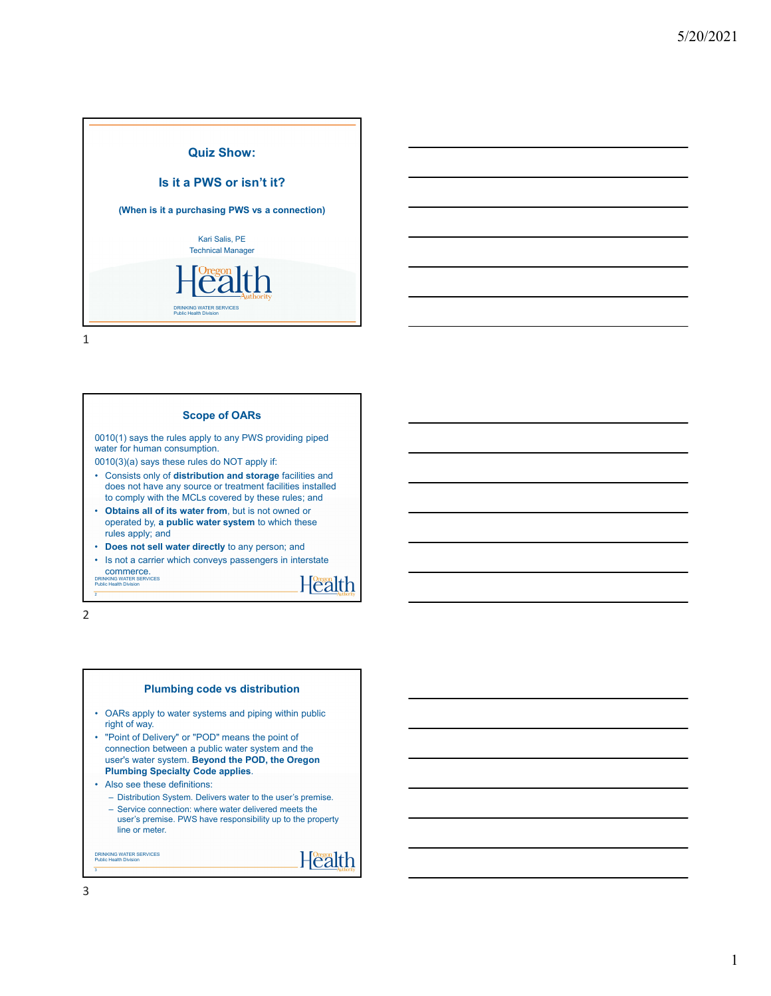

1

# **Scope of OARs**

0010(1) says the rules apply to any PWS providing piped water for human consumption.

0010(3)(a) says these rules do NOT apply if:

- Consists only of **distribution and storage** facilities and does not have any source or treatment facilities installed to comply with the MCLs covered by these rules; and
- **Obtains all of its water from**, but is not owned or operated by, **a public water system** to which these rules apply; and
- **Does not sell water directly** to any person; and
- Is not a carrier which conveys passengers in interstate commerce.

DRINKING WATER SERVICES Public Health Division

Health

2

2

## **Plumbing code vs distribution**

- OARs apply to water systems and piping within public right of way.
- "Point of Delivery" or "POD" means the point of connection between a public water system and the user's water system. **Beyond the POD, the Oregon Plumbing Specialty Code applies**.
- Also see these definitions:
	- Distribution System. Delivers water to the user's premise.
	- Service connection: where water delivered meets the user's premise. PWS have responsibility up to the property line or meter.

DRINKING WATER SERVICES Public Health Division

Health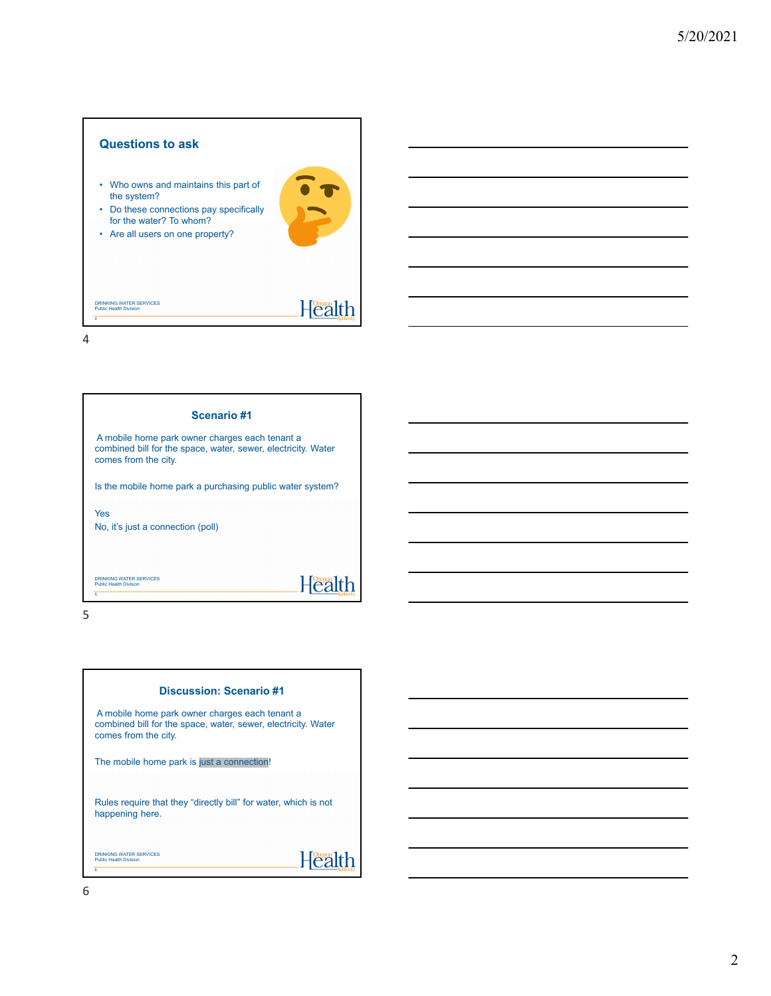## **Questions to ask**

- Who owns and maintains this part of the system?
- Do these connections pay specifically for the water? To whom?
- Are all users on one property?



Health

#### DRINKING WATER SERVICES Public Health Division 4

4

| Scenario #1                                                                                                                             |  |
|-----------------------------------------------------------------------------------------------------------------------------------------|--|
| A mobile home park owner charges each tenant a<br>combined bill for the space, water, sewer, electricity. Water<br>comes from the city. |  |
| Is the mobile home park a purchasing public water system?                                                                               |  |
| Yes                                                                                                                                     |  |
| No, it's just a connection (poll)                                                                                                       |  |
|                                                                                                                                         |  |
| DRINKING WATER SERVICES<br><b>Public Health Division</b>                                                                                |  |
|                                                                                                                                         |  |

5

## **Discussion: Scenario #1**

A mobile home park owner charges each tenant a combined bill for the space, water, sewer, electricity. Water comes from the city.

The mobile home park is just a connection!

Rules require that they "directly bill" for water, which is not happening here.

DRINKING WATER SERVICES Public Health Division 6

Health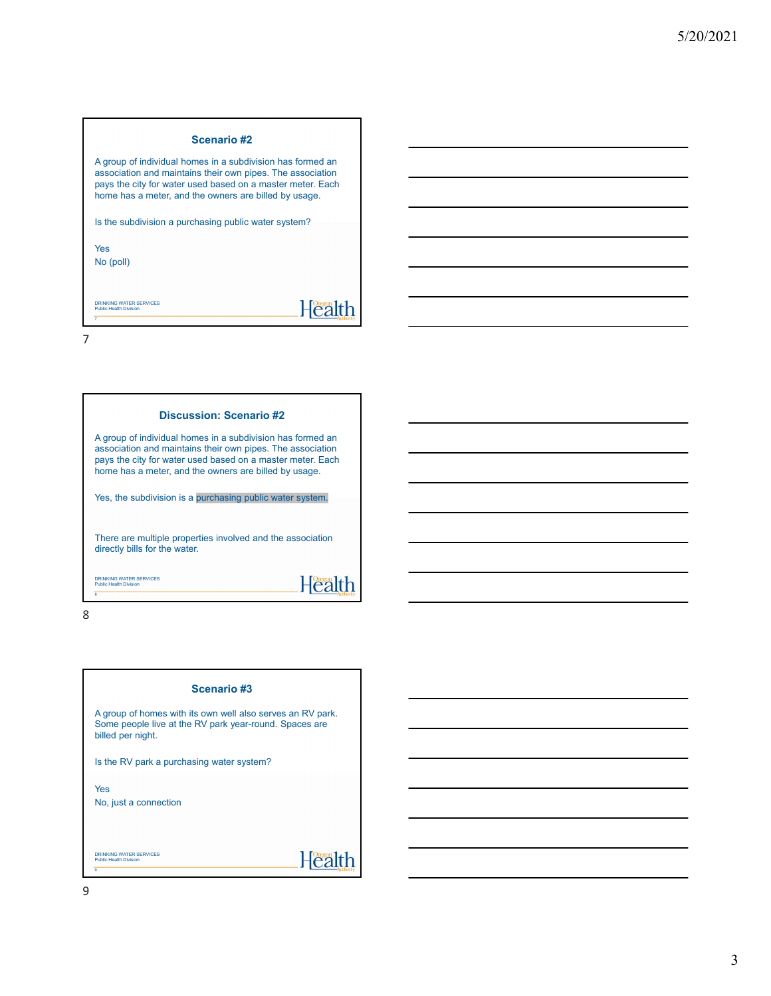### **Scenario #2**

A group of individual homes in a subdivision has formed an association and maintains their own pipes. The association pays the city for water used based on a master meter. Each home has a meter, and the owners are billed by usage.

Is the subdivision a purchasing public water system?

Yes

No (poll)

DRINKING WATER SERVICES Public Health Division

Health

7

7

| <b>Discussion: Scenario #2</b>                                                                                                                                                                                                                  |
|-------------------------------------------------------------------------------------------------------------------------------------------------------------------------------------------------------------------------------------------------|
| A group of individual homes in a subdivision has formed an<br>association and maintains their own pipes. The association<br>pays the city for water used based on a master meter. Each<br>home has a meter, and the owners are billed by usage. |
| Yes, the subdivision is a purchasing public water system.                                                                                                                                                                                       |
| There are multiple properties involved and the association<br>directly bills for the water.                                                                                                                                                     |
| DRINKING WATER SERVICES<br><b>Public Health Division</b>                                                                                                                                                                                        |

8

#### **Scenario #3**

A group of homes with its own well also serves an RV park. Some people live at the RV park year-round. Spaces are billed per night.

Is the RV park a purchasing water system?

Yes

No, just a connection

DRINKING WATER SERVICES Public Health Division 9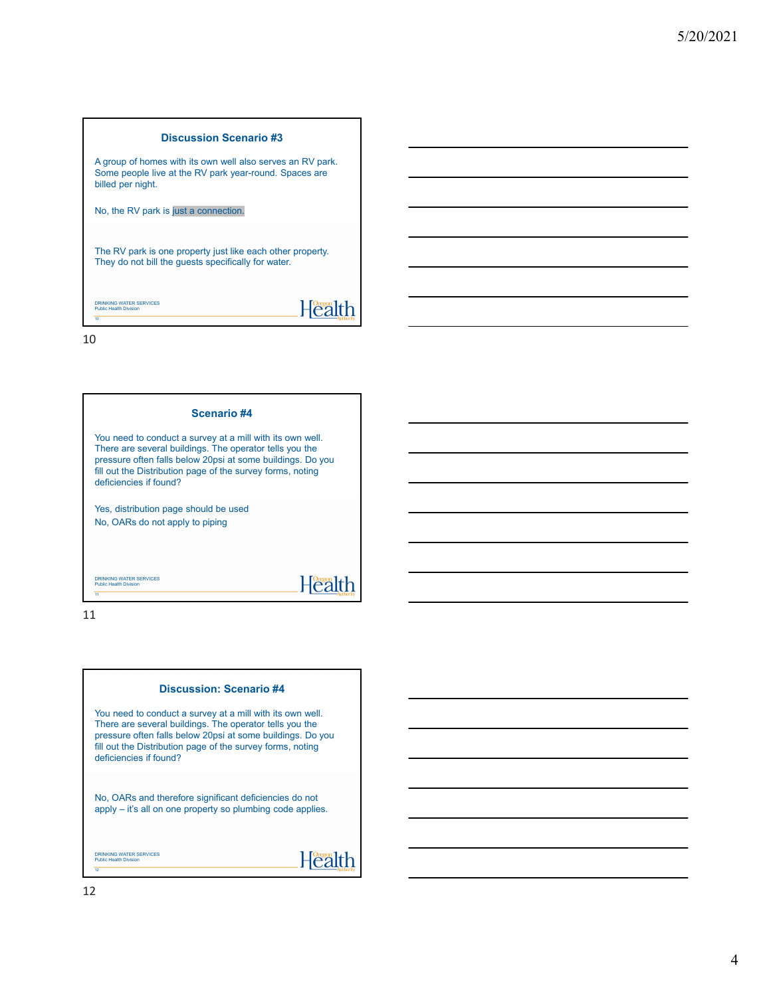## **Discussion Scenario #3**

A group of homes with its own well also serves an RV park. Some people live at the RV park year-round. Spaces are billed per night.

No, the RV park is just a connection.

The RV park is one property just like each other property. They do not bill the guests specifically for water.

DRINKING WATER SERVICES Public Health Division  $\overline{10}$ 

10

| <b>Scenario #4</b>                                                                                                                                                                                                                                                         |
|----------------------------------------------------------------------------------------------------------------------------------------------------------------------------------------------------------------------------------------------------------------------------|
| You need to conduct a survey at a mill with its own well.<br>There are several buildings. The operator tells you the<br>pressure often falls below 20psi at some buildings. Do you<br>fill out the Distribution page of the survey forms, noting<br>deficiencies if found? |
| Yes, distribution page should be used<br>No, OARs do not apply to piping                                                                                                                                                                                                   |

Health

Health

11

11

DRINKING WATER SERVICES Public Health Division

#### **Discussion: Scenario #4**

You need to conduct a survey at a mill with its own well. There are several buildings. The operator tells you the pressure often falls below 20psi at some buildings. Do you fill out the Distribution page of the survey forms, noting deficiencies if found?

No, OARs and therefore significant deficiencies do not apply – it's all on one property so plumbing code applies.

DRINKING WATER SERVICES Public Health Division  $\frac{1}{12}$ 

Health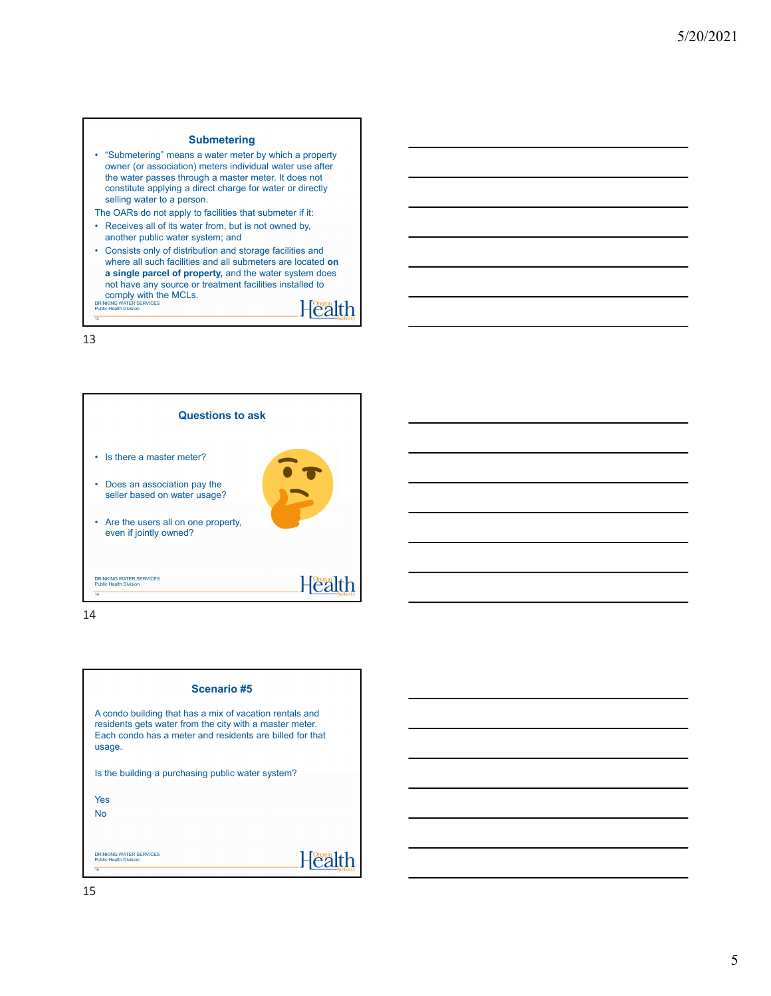#### **Submetering**

- "Submetering" means a water meter by which a property owner (or association) meters individual water use after the water passes through a master meter. It does not constitute applying a direct charge for water or directly selling water to a person.
- The OARs do not apply to facilities that submeter if it:
- Receives all of its water from, but is not owned by, another public water system; and
- **COMPLY WITH THE MCLS.**<br>DRINKING WATER SERVICES • Consists only of distribution and storage facilities and where all such facilities and all submeters are located **on a single parcel of property,** and the water system does not have any source or treatment facilities installed to

**Health** 

Health

13

Public Health Division 13



14

#### **Scenario #5**

A condo building that has a mix of vacation rentals and residents gets water from the city with a master meter. Each condo has a meter and residents are billed for that usage.

Is the building a purchasing public water system?

Yes

No

DRINKING WATER SERVICES Public Health Division 15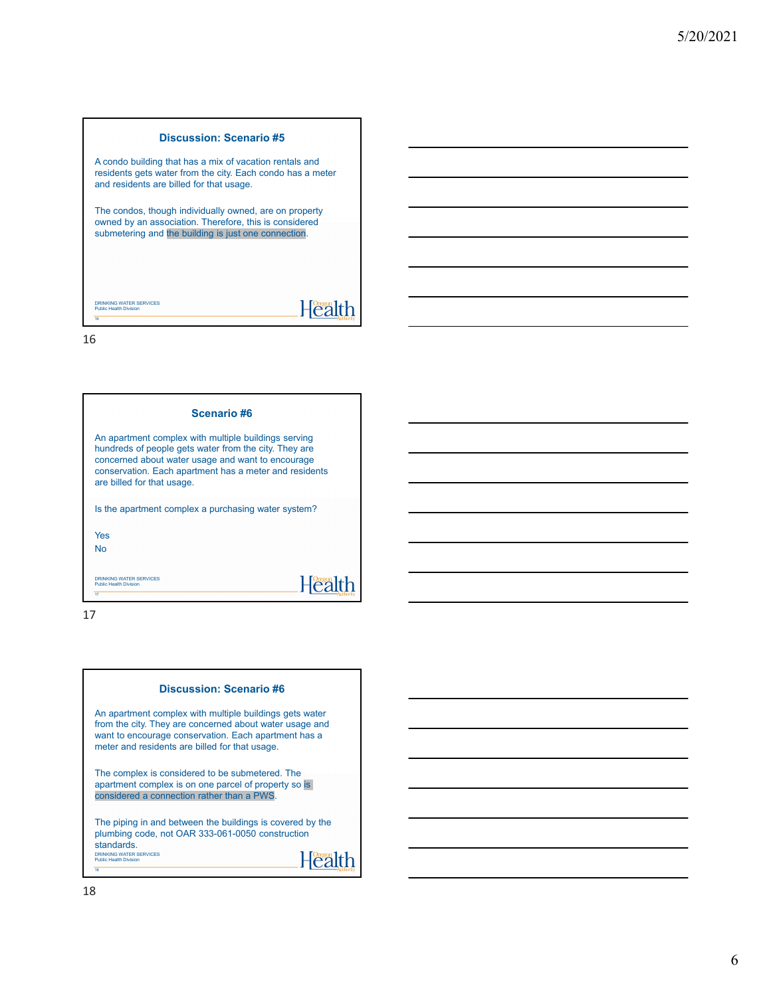## **Discussion: Scenario #5**

A condo building that has a mix of vacation rentals and residents gets water from the city. Each condo has a meter and residents are billed for that usage.

The condos, though individually owned, are on property owned by an association. Therefore, this is considered submetering and the building is just one connection.

Health

DRINKING WATER SERVICES Public Health Division 16

16

**Scenario #6** An apartment complex with multiple buildings serving hundreds of people gets water from the city. They are concerned about water usage and want to encourage conservation. Each apartment has a meter and residents are billed for that usage. Is the apartment complex a purchasing water system? Yes No Health

17

17

DRINKING WATER SERVICES Public Health Division

#### **Discussion: Scenario #6**

An apartment complex with multiple buildings gets water from the city. They are concerned about water usage and want to encourage conservation. Each apartment has a meter and residents are billed for that usage.

The complex is considered to be submetered. The apartment complex is on one parcel of property so is considered a connection rather than a PWS.

The piping in and between the buildings is covered by the plumbing code, not OAR 333-061-0050 construction standards. Health DRINKING WATER SERVICES Public Health Division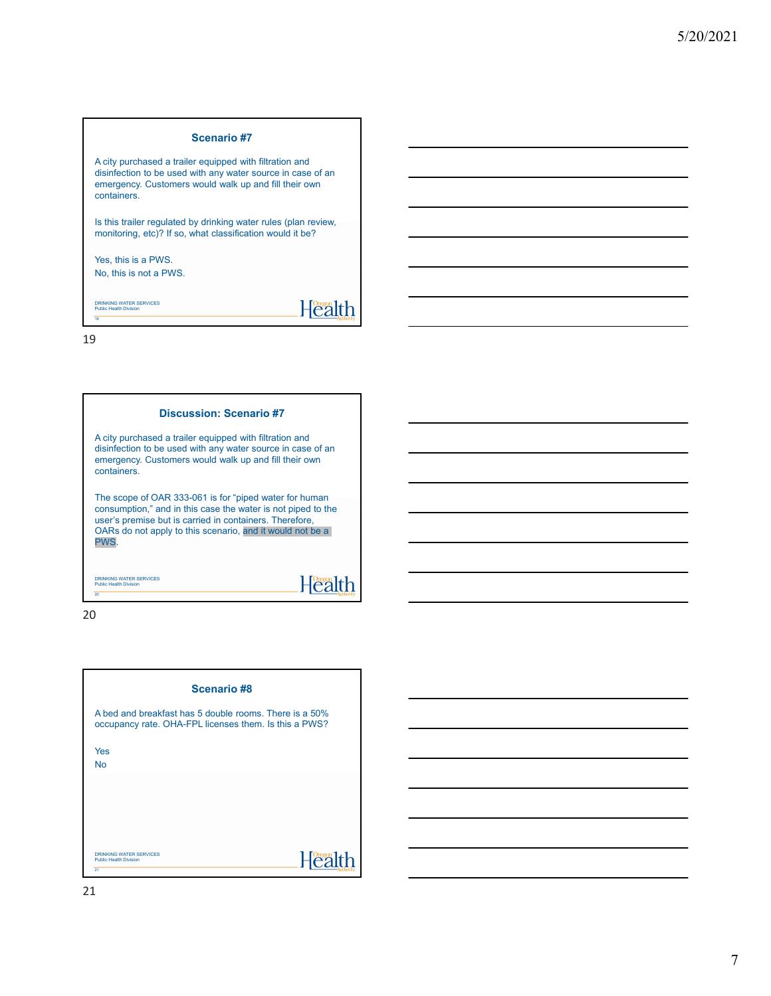## **Scenario #7**

A city purchased a trailer equipped with filtration and disinfection to be used with any water source in case of an emergency. Customers would walk up and fill their own containers.

Is this trailer regulated by drinking water rules (plan review, monitoring, etc)? If so, what classification would it be?

Yes, this is a PWS. No, this is not a PWS.

DRINKING WATER SERVICES Public Health Division  $\frac{1}{19}$ 

Health

19

| <b>Discussion: Scenario #7</b>                                                                                                                                                  |
|---------------------------------------------------------------------------------------------------------------------------------------------------------------------------------|
| A city purchased a trailer equipped with filtration and<br>disinfection to be used with any water source in case of an<br>emergency. Customers would walk up and fill their own |

The scope of OAR 333-061 is for "piped water for human consumption," and in this case the water is not piped to the user's premise but is carried in containers. Therefore, OARs do not apply to this scenario, and it would not be a PWS.

DRINKING WATER SERVICES Public Health Division

containers.

Health

20

 $\frac{1}{20}$ 

| Scenario #8                                                                                                     |
|-----------------------------------------------------------------------------------------------------------------|
| A bed and breakfast has 5 double rooms. There is a 50%<br>occupancy rate. OHA-FPL licenses them. Is this a PWS? |
| Yes                                                                                                             |
| No                                                                                                              |
|                                                                                                                 |
|                                                                                                                 |
|                                                                                                                 |
|                                                                                                                 |
| DRINKING WATER SERVICES.<br>Health<br><b>Public Health Division</b>                                             |
| 21                                                                                                              |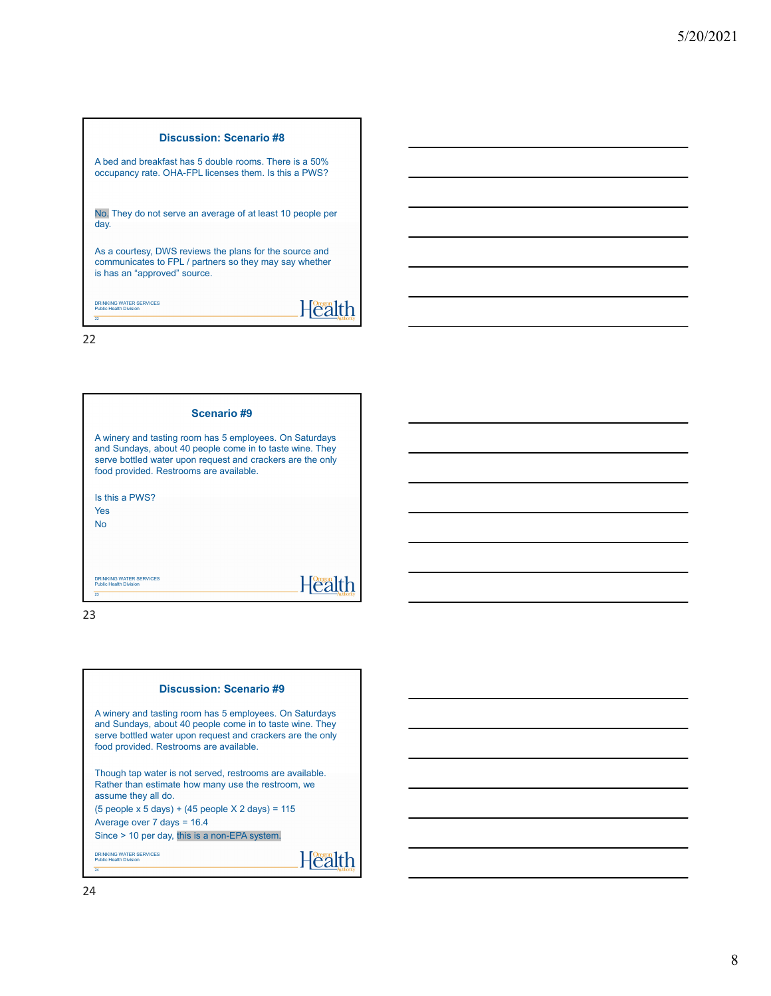## **Discussion: Scenario #8**

A bed and breakfast has 5 double rooms. There is a 50% occupancy rate. OHA-FPL licenses them. Is this a PWS?

No. They do not serve an average of at least 10 people per day.

As a courtesy, DWS reviews the plans for the source and communicates to FPL / partners so they may say whether is has an "approved" source.

Health

Health

DRINKING WATER SERVICES Public Health Division  $\overline{22}$ 

22

| Scenario #9                                                                                                                                                                                                                  |
|------------------------------------------------------------------------------------------------------------------------------------------------------------------------------------------------------------------------------|
| A winery and tasting room has 5 employees. On Saturdays<br>and Sundays, about 40 people come in to taste wine. They<br>serve bottled water upon request and crackers are the only<br>food provided. Restrooms are available. |
| Is this a PWS?                                                                                                                                                                                                               |
| Yes                                                                                                                                                                                                                          |
| Nο                                                                                                                                                                                                                           |
|                                                                                                                                                                                                                              |
|                                                                                                                                                                                                                              |
| DRINKING WATER SERVICES<br><b>Public Health Division</b>                                                                                                                                                                     |
| 23                                                                                                                                                                                                                           |

23

#### **Discussion: Scenario #9**

A winery and tasting room has 5 employees. On Saturdays and Sundays, about 40 people come in to taste wine. They serve bottled water upon request and crackers are the only food provided. Restrooms are available.

Though tap water is not served, restrooms are available. Rather than estimate how many use the restroom, we assume they all do. (5 people x 5 days) + (45 people X 2 days) = 115

Average over 7 days = 16.4

Since > 10 per day, this is a non-EPA system.

DRINKING WATER SERVICES Public Health Division  $\overline{24}$